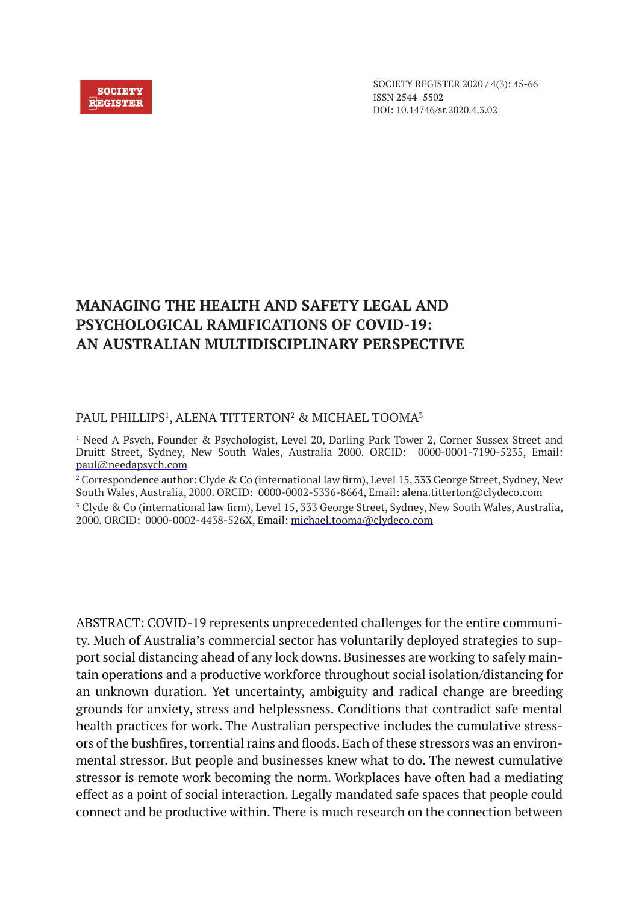#### **SOCIETY REGISTER**

SOCIETY REGISTER 2020 / 4(3): 45-66 ISSN 2544–5502 DOI: 10.14746/sr.2020.4.3.02

# **MANAGING THE HEALTH AND SAFETY LEGAL AND PSYCHOLOGICAL RAMIFICATIONS OF COVID-19: AN AUSTRALIAN MULTIDISCIPLINARY PERSPECTIVE**

### PAUL PHILLIPS<sup>1</sup>, ALENA TITTERTON<sup>2</sup> & MICHAEL TOOMA<sup>3</sup>

1 Need A Psych, Founder & Psychologist, Level 20, Darling Park Tower 2, Corner Sussex Street and Druitt Street, Sydney, New South Wales, Australia 2000. ORCID: 0000-0001-7190-5235, Email: paul@needapsych.com

2 Correspondence author: Clyde & Co (international law firm), Level 15, 333 George Street, Sydney, New South Wales, Australia, 2000. ORCID: 0000-0002-5336-8664, Email: alena.titterton@clydeco.com 3 Clyde & Co (international law firm), Level 15, 333 George Street, Sydney, New South Wales, Australia, 2000. ORCID: 0000-0002-4438-526X, Email: michael.tooma@clydeco.com

ABSTRACT: COVID-19 represents unprecedented challenges for the entire community. Much of Australia's commercial sector has voluntarily deployed strategies to support social distancing ahead of any lock downs. Businesses are working to safely maintain operations and a productive workforce throughout social isolation/distancing for an unknown duration. Yet uncertainty, ambiguity and radical change are breeding grounds for anxiety, stress and helplessness. Conditions that contradict safe mental health practices for work. The Australian perspective includes the cumulative stressors of the bushfires, torrential rains and floods. Each of these stressors was an environmental stressor. But people and businesses knew what to do. The newest cumulative stressor is remote work becoming the norm. Workplaces have often had a mediating effect as a point of social interaction. Legally mandated safe spaces that people could connect and be productive within. There is much research on the connection between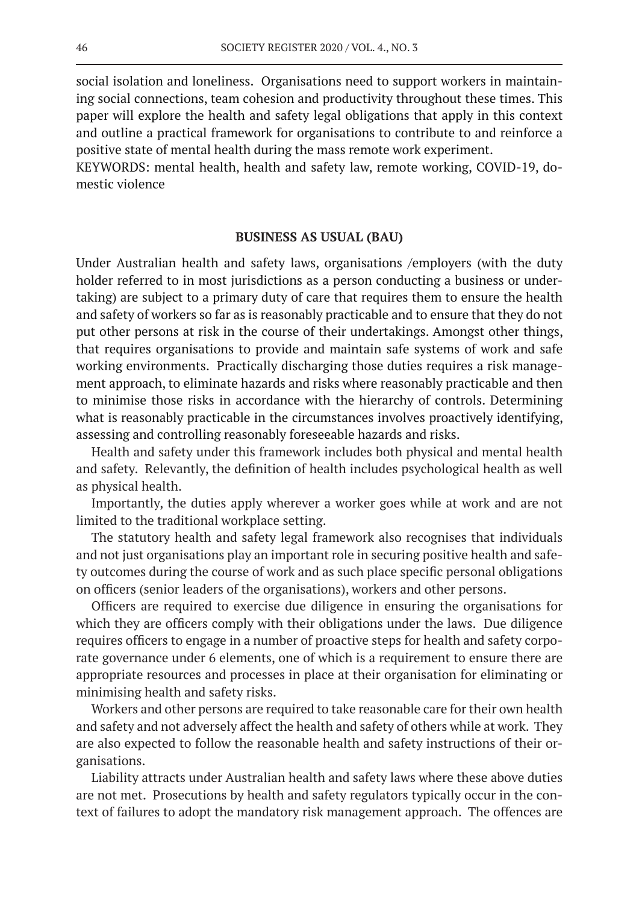social isolation and loneliness. Organisations need to support workers in maintaining social connections, team cohesion and productivity throughout these times. This paper will explore the health and safety legal obligations that apply in this context and outline a practical framework for organisations to contribute to and reinforce a positive state of mental health during the mass remote work experiment.

KEYWORDS: mental health, health and safety law, remote working, COVID-19, domestic violence

#### **BUSINESS AS USUAL (BAU)**

Under Australian health and safety laws, organisations /employers (with the duty holder referred to in most jurisdictions as a person conducting a business or undertaking) are subject to a primary duty of care that requires them to ensure the health and safety of workers so far as is reasonably practicable and to ensure that they do not put other persons at risk in the course of their undertakings. Amongst other things, that requires organisations to provide and maintain safe systems of work and safe working environments. Practically discharging those duties requires a risk management approach, to eliminate hazards and risks where reasonably practicable and then to minimise those risks in accordance with the hierarchy of controls. Determining what is reasonably practicable in the circumstances involves proactively identifying, assessing and controlling reasonably foreseeable hazards and risks.

Health and safety under this framework includes both physical and mental health and safety. Relevantly, the definition of health includes psychological health as well as physical health.

Importantly, the duties apply wherever a worker goes while at work and are not limited to the traditional workplace setting.

The statutory health and safety legal framework also recognises that individuals and not just organisations play an important role in securing positive health and safety outcomes during the course of work and as such place specific personal obligations on officers (senior leaders of the organisations), workers and other persons.

Officers are required to exercise due diligence in ensuring the organisations for which they are officers comply with their obligations under the laws. Due diligence requires officers to engage in a number of proactive steps for health and safety corporate governance under 6 elements, one of which is a requirement to ensure there are appropriate resources and processes in place at their organisation for eliminating or minimising health and safety risks.

Workers and other persons are required to take reasonable care for their own health and safety and not adversely affect the health and safety of others while at work. They are also expected to follow the reasonable health and safety instructions of their organisations.

Liability attracts under Australian health and safety laws where these above duties are not met. Prosecutions by health and safety regulators typically occur in the context of failures to adopt the mandatory risk management approach. The offences are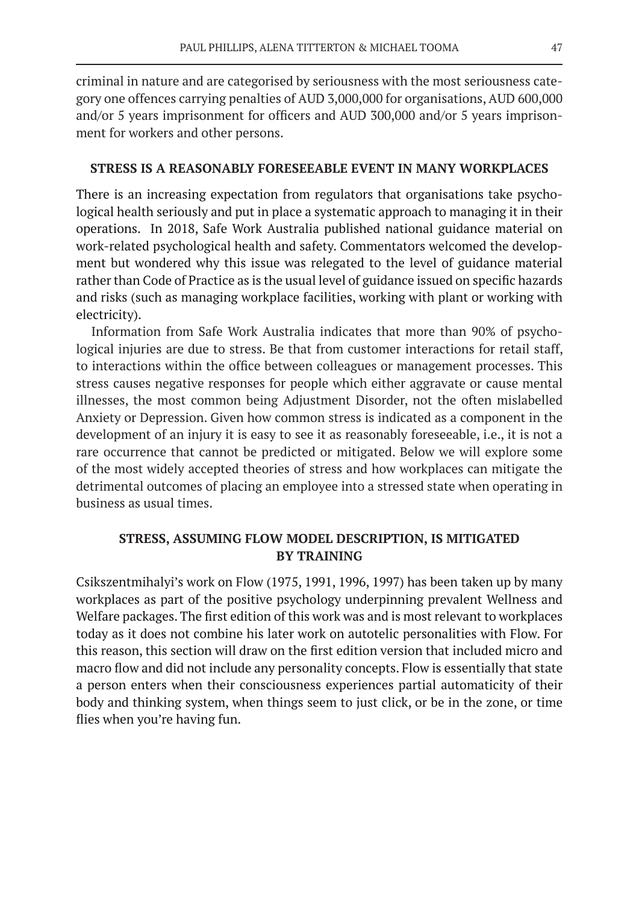criminal in nature and are categorised by seriousness with the most seriousness category one offences carrying penalties of AUD 3,000,000 for organisations, AUD 600,000 and/or 5 years imprisonment for officers and AUD 300,000 and/or 5 years imprisonment for workers and other persons.

#### **STRESS IS A REASONABLY FORESEEABLE EVENT IN MANY WORKPLACES**

There is an increasing expectation from regulators that organisations take psychological health seriously and put in place a systematic approach to managing it in their operations. In 2018, Safe Work Australia published national guidance material on work-related psychological health and safety. Commentators welcomed the development but wondered why this issue was relegated to the level of guidance material rather than Code of Practice as is the usual level of guidance issued on specific hazards and risks (such as managing workplace facilities, working with plant or working with electricity).

Information from Safe Work Australia indicates that more than 90% of psychological injuries are due to stress. Be that from customer interactions for retail staff, to interactions within the office between colleagues or management processes. This stress causes negative responses for people which either aggravate or cause mental illnesses, the most common being Adjustment Disorder, not the often mislabelled Anxiety or Depression. Given how common stress is indicated as a component in the development of an injury it is easy to see it as reasonably foreseeable, i.e., it is not a rare occurrence that cannot be predicted or mitigated. Below we will explore some of the most widely accepted theories of stress and how workplaces can mitigate the detrimental outcomes of placing an employee into a stressed state when operating in business as usual times.

# **STRESS, ASSUMING FLOW MODEL DESCRIPTION, IS MITIGATED BY TRAINING**

Csikszentmihalyi's work on Flow (1975, 1991, 1996, 1997) has been taken up by many workplaces as part of the positive psychology underpinning prevalent Wellness and Welfare packages. The first edition of this work was and is most relevant to workplaces today as it does not combine his later work on autotelic personalities with Flow. For this reason, this section will draw on the first edition version that included micro and macro flow and did not include any personality concepts. Flow is essentially that state a person enters when their consciousness experiences partial automaticity of their body and thinking system, when things seem to just click, or be in the zone, or time flies when you're having fun.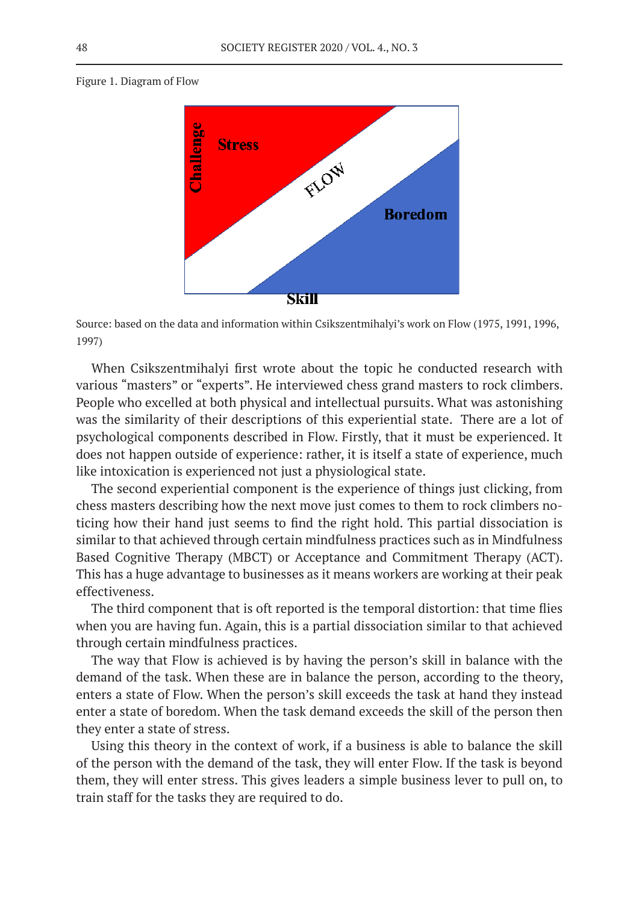Figure 1. Diagram of Flow



Source: based on the data and information within Csikszentmihalyi's work on Flow (1975, 1991, 1996, 1997)

When Csikszentmihalyi first wrote about the topic he conducted research with various "masters" or "experts". He interviewed chess grand masters to rock climbers. People who excelled at both physical and intellectual pursuits. What was astonishing was the similarity of their descriptions of this experiential state. There are a lot of psychological components described in Flow. Firstly, that it must be experienced. It does not happen outside of experience: rather, it is itself a state of experience, much like intoxication is experienced not just a physiological state.

The second experiential component is the experience of things just clicking, from chess masters describing how the next move just comes to them to rock climbers noticing how their hand just seems to find the right hold. This partial dissociation is similar to that achieved through certain mindfulness practices such as in Mindfulness Based Cognitive Therapy (MBCT) or Acceptance and Commitment Therapy (ACT). This has a huge advantage to businesses as it means workers are working at their peak effectiveness.

The third component that is oft reported is the temporal distortion: that time flies when you are having fun. Again, this is a partial dissociation similar to that achieved through certain mindfulness practices.

The way that Flow is achieved is by having the person's skill in balance with the demand of the task. When these are in balance the person, according to the theory, enters a state of Flow. When the person's skill exceeds the task at hand they instead enter a state of boredom. When the task demand exceeds the skill of the person then they enter a state of stress.

Using this theory in the context of work, if a business is able to balance the skill of the person with the demand of the task, they will enter Flow. If the task is beyond them, they will enter stress. This gives leaders a simple business lever to pull on, to train staff for the tasks they are required to do.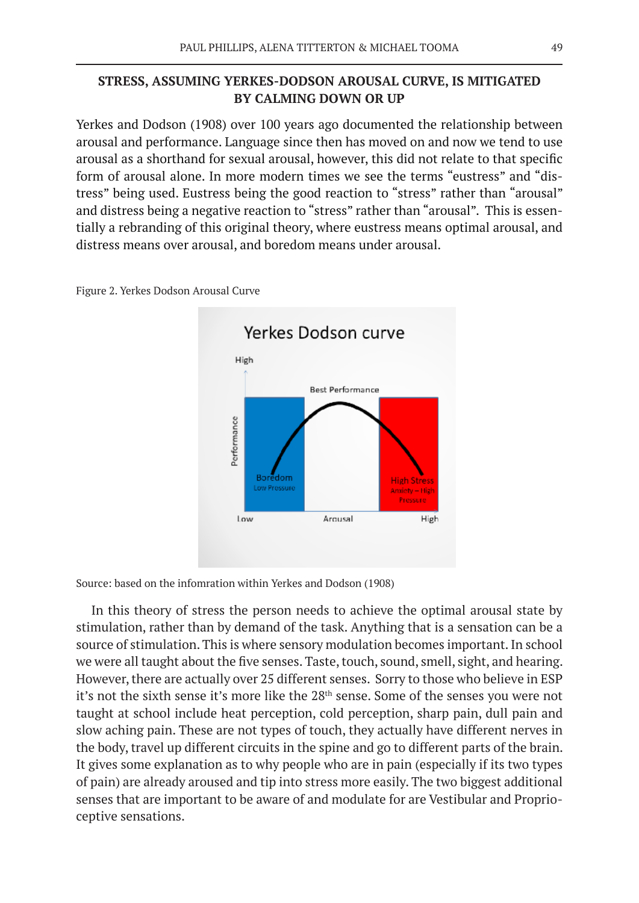# **STRESS, ASSUMING YERKES-DODSON AROUSAL CURVE, IS MITIGATED BY CALMING DOWN OR UP**

Yerkes and Dodson (1908) over 100 years ago documented the relationship between arousal and performance. Language since then has moved on and now we tend to use arousal as a shorthand for sexual arousal, however, this did not relate to that specific form of arousal alone. In more modern times we see the terms "eustress" and "distress" being used. Eustress being the good reaction to "stress" rather than "arousal" and distress being a negative reaction to "stress" rather than "arousal". This is essentially a rebranding of this original theory, where eustress means optimal arousal, and distress means over arousal, and boredom means under arousal.



Figure 2. Yerkes Dodson Arousal Curve

Source: based on the infomration within Yerkes and Dodson (1908)

In this theory of stress the person needs to achieve the optimal arousal state by stimulation, rather than by demand of the task. Anything that is a sensation can be a source of stimulation. This is where sensory modulation becomes important. In school we were all taught about the five senses. Taste, touch, sound, smell, sight, and hearing. However, there are actually over 25 different senses. Sorry to those who believe in ESP it's not the sixth sense it's more like the 28<sup>th</sup> sense. Some of the senses you were not taught at school include heat perception, cold perception, sharp pain, dull pain and slow aching pain. These are not types of touch, they actually have different nerves in the body, travel up different circuits in the spine and go to different parts of the brain. It gives some explanation as to why people who are in pain (especially if its two types of pain) are already aroused and tip into stress more easily. The two biggest additional senses that are important to be aware of and modulate for are Vestibular and Proprioceptive sensations.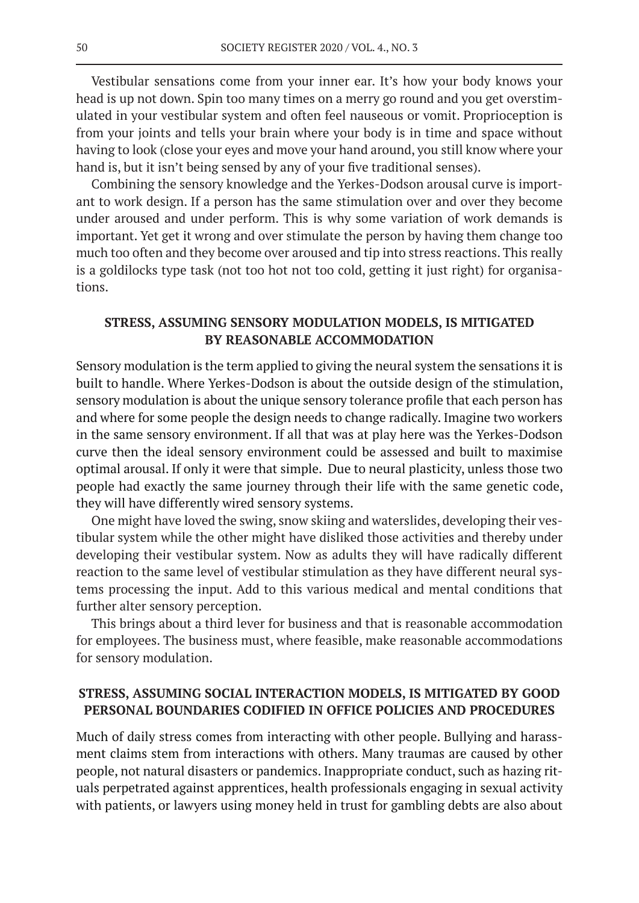Vestibular sensations come from your inner ear. It's how your body knows your head is up not down. Spin too many times on a merry go round and you get overstimulated in your vestibular system and often feel nauseous or vomit. Proprioception is from your joints and tells your brain where your body is in time and space without having to look (close your eyes and move your hand around, you still know where your hand is, but it isn't being sensed by any of your five traditional senses).

Combining the sensory knowledge and the Yerkes-Dodson arousal curve is important to work design. If a person has the same stimulation over and over they become under aroused and under perform. This is why some variation of work demands is important. Yet get it wrong and over stimulate the person by having them change too much too often and they become over aroused and tip into stress reactions. This really is a goldilocks type task (not too hot not too cold, getting it just right) for organisations.

# **STRESS, ASSUMING SENSORY MODULATION MODELS, IS MITIGATED BY REASONABLE ACCOMMODATION**

Sensory modulation is the term applied to giving the neural system the sensations it is built to handle. Where Yerkes-Dodson is about the outside design of the stimulation, sensory modulation is about the unique sensory tolerance profile that each person has and where for some people the design needs to change radically. Imagine two workers in the same sensory environment. If all that was at play here was the Yerkes-Dodson curve then the ideal sensory environment could be assessed and built to maximise optimal arousal. If only it were that simple. Due to neural plasticity, unless those two people had exactly the same journey through their life with the same genetic code, they will have differently wired sensory systems.

One might have loved the swing, snow skiing and waterslides, developing their vestibular system while the other might have disliked those activities and thereby under developing their vestibular system. Now as adults they will have radically different reaction to the same level of vestibular stimulation as they have different neural systems processing the input. Add to this various medical and mental conditions that further alter sensory perception.

This brings about a third lever for business and that is reasonable accommodation for employees. The business must, where feasible, make reasonable accommodations for sensory modulation.

### **STRESS, ASSUMING SOCIAL INTERACTION MODELS, IS MITIGATED BY GOOD PERSONAL BOUNDARIES CODIFIED IN OFFICE POLICIES AND PROCEDURES**

Much of daily stress comes from interacting with other people. Bullying and harassment claims stem from interactions with others. Many traumas are caused by other people, not natural disasters or pandemics. Inappropriate conduct, such as hazing rituals perpetrated against apprentices, health professionals engaging in sexual activity with patients, or lawyers using money held in trust for gambling debts are also about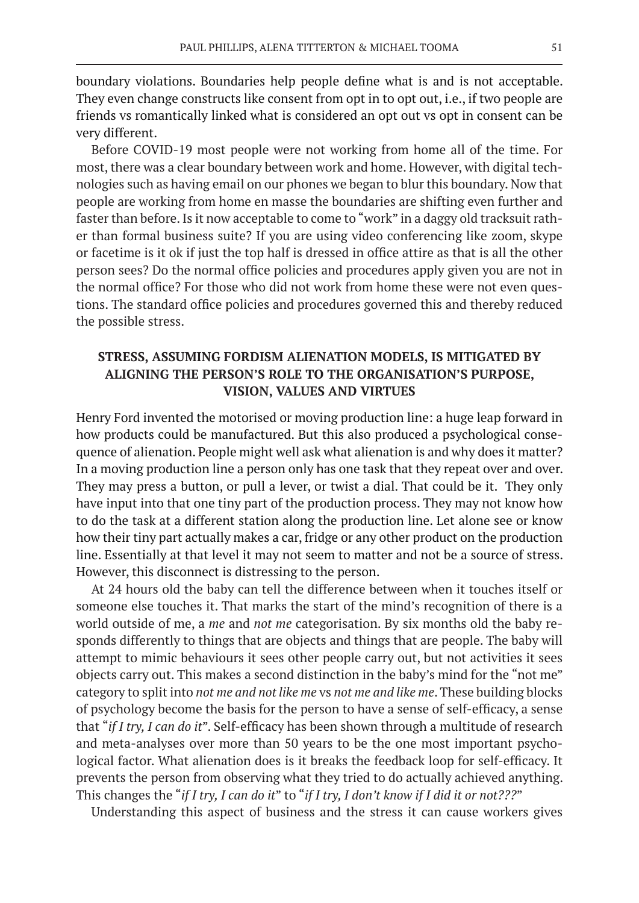boundary violations. Boundaries help people define what is and is not acceptable. They even change constructs like consent from opt in to opt out, i.e., if two people are friends vs romantically linked what is considered an opt out vs opt in consent can be very different.

Before COVID-19 most people were not working from home all of the time. For most, there was a clear boundary between work and home. However, with digital technologies such as having email on our phones we began to blur this boundary. Now that people are working from home en masse the boundaries are shifting even further and faster than before. Is it now acceptable to come to "work" in a daggy old tracksuit rather than formal business suite? If you are using video conferencing like zoom, skype or facetime is it ok if just the top half is dressed in office attire as that is all the other person sees? Do the normal office policies and procedures apply given you are not in the normal office? For those who did not work from home these were not even questions. The standard office policies and procedures governed this and thereby reduced the possible stress.

# **STRESS, ASSUMING FORDISM ALIENATION MODELS, IS MITIGATED BY ALIGNING THE PERSON'S ROLE TO THE ORGANISATION'S PURPOSE, VISION, VALUES AND VIRTUES**

Henry Ford invented the motorised or moving production line: a huge leap forward in how products could be manufactured. But this also produced a psychological consequence of alienation. People might well ask what alienation is and why does it matter? In a moving production line a person only has one task that they repeat over and over. They may press a button, or pull a lever, or twist a dial. That could be it. They only have input into that one tiny part of the production process. They may not know how to do the task at a different station along the production line. Let alone see or know how their tiny part actually makes a car, fridge or any other product on the production line. Essentially at that level it may not seem to matter and not be a source of stress. However, this disconnect is distressing to the person.

At 24 hours old the baby can tell the difference between when it touches itself or someone else touches it. That marks the start of the mind's recognition of there is a world outside of me, a *me* and *not me* categorisation. By six months old the baby responds differently to things that are objects and things that are people. The baby will attempt to mimic behaviours it sees other people carry out, but not activities it sees objects carry out. This makes a second distinction in the baby's mind for the "not me" category to split into *not me and not like me* vs *not me and like me*. These building blocks of psychology become the basis for the person to have a sense of self-efficacy, a sense that "*if I try, I can do it*". Self-efficacy has been shown through a multitude of research and meta-analyses over more than 50 years to be the one most important psychological factor. What alienation does is it breaks the feedback loop for self-efficacy. It prevents the person from observing what they tried to do actually achieved anything. This changes the "*if I try, I can do it*" to "*if I try, I don't know if I did it or not???*"

Understanding this aspect of business and the stress it can cause workers gives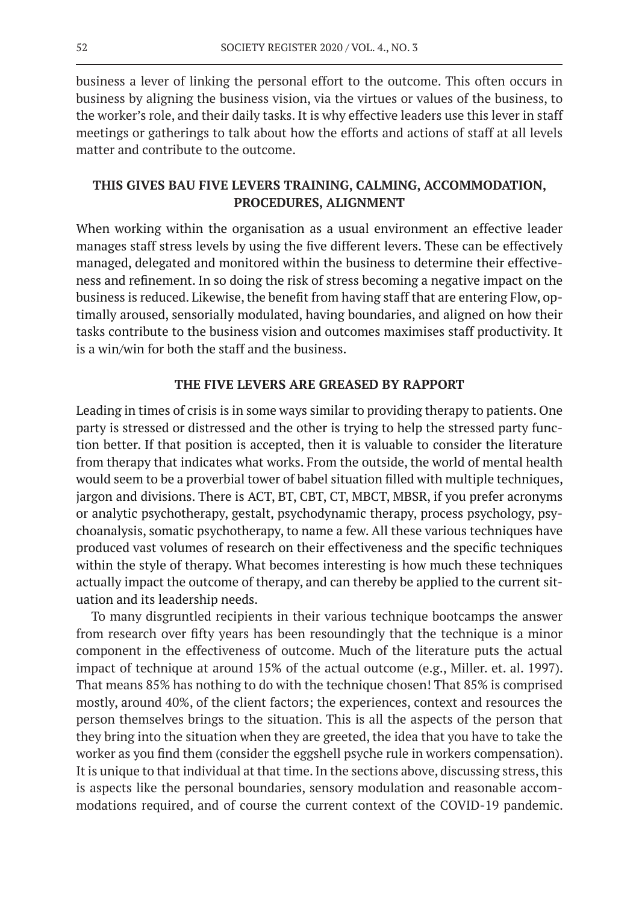business a lever of linking the personal effort to the outcome. This often occurs in business by aligning the business vision, via the virtues or values of the business, to the worker's role, and their daily tasks. It is why effective leaders use this lever in staff meetings or gatherings to talk about how the efforts and actions of staff at all levels matter and contribute to the outcome.

# **THIS GIVES BAU FIVE LEVERS TRAINING, CALMING, ACCOMMODATION, PROCEDURES, ALIGNMENT**

When working within the organisation as a usual environment an effective leader manages staff stress levels by using the five different levers. These can be effectively managed, delegated and monitored within the business to determine their effectiveness and refinement. In so doing the risk of stress becoming a negative impact on the business is reduced. Likewise, the benefit from having staff that are entering Flow, optimally aroused, sensorially modulated, having boundaries, and aligned on how their tasks contribute to the business vision and outcomes maximises staff productivity. It is a win/win for both the staff and the business.

### **THE FIVE LEVERS ARE GREASED BY RAPPORT**

Leading in times of crisis is in some ways similar to providing therapy to patients. One party is stressed or distressed and the other is trying to help the stressed party function better. If that position is accepted, then it is valuable to consider the literature from therapy that indicates what works. From the outside, the world of mental health would seem to be a proverbial tower of babel situation filled with multiple techniques, jargon and divisions. There is ACT, BT, CBT, CT, MBCT, MBSR, if you prefer acronyms or analytic psychotherapy, gestalt, psychodynamic therapy, process psychology, psychoanalysis, somatic psychotherapy, to name a few. All these various techniques have produced vast volumes of research on their effectiveness and the specific techniques within the style of therapy. What becomes interesting is how much these techniques actually impact the outcome of therapy, and can thereby be applied to the current situation and its leadership needs.

To many disgruntled recipients in their various technique bootcamps the answer from research over fifty years has been resoundingly that the technique is a minor component in the effectiveness of outcome. Much of the literature puts the actual impact of technique at around 15% of the actual outcome (e.g., Miller. et. al. 1997). That means 85% has nothing to do with the technique chosen! That 85% is comprised mostly, around 40%, of the client factors; the experiences, context and resources the person themselves brings to the situation. This is all the aspects of the person that they bring into the situation when they are greeted, the idea that you have to take the worker as you find them (consider the eggshell psyche rule in workers compensation). It is unique to that individual at that time. In the sections above, discussing stress, this is aspects like the personal boundaries, sensory modulation and reasonable accommodations required, and of course the current context of the COVID-19 pandemic.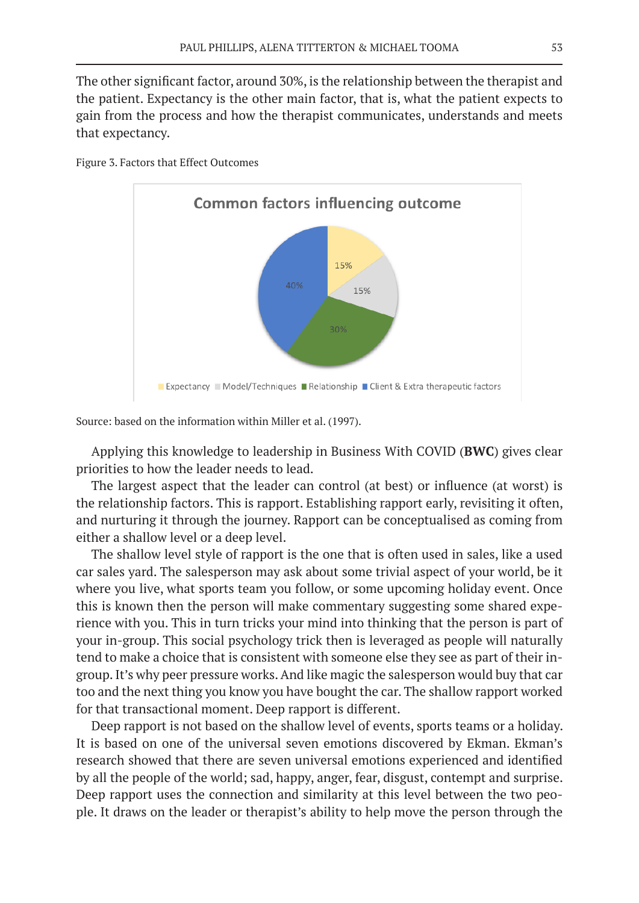The other significant factor, around 30%, is the relationship between the therapist and the patient. Expectancy is the other main factor, that is, what the patient expects to gain from the process and how the therapist communicates, understands and meets that expectancy.



Figure 3. Factors that Effect Outcomes

Source: based on the information within Miller et al. (1997).

Applying this knowledge to leadership in Business With COVID (**BWC**) gives clear priorities to how the leader needs to lead.

The largest aspect that the leader can control (at best) or influence (at worst) is the relationship factors. This is rapport. Establishing rapport early, revisiting it often, and nurturing it through the journey. Rapport can be conceptualised as coming from either a shallow level or a deep level.

The shallow level style of rapport is the one that is often used in sales, like a used car sales yard. The salesperson may ask about some trivial aspect of your world, be it where you live, what sports team you follow, or some upcoming holiday event. Once this is known then the person will make commentary suggesting some shared experience with you. This in turn tricks your mind into thinking that the person is part of your in-group. This social psychology trick then is leveraged as people will naturally tend to make a choice that is consistent with someone else they see as part of their ingroup. It's why peer pressure works. And like magic the salesperson would buy that car too and the next thing you know you have bought the car. The shallow rapport worked for that transactional moment. Deep rapport is different.

Deep rapport is not based on the shallow level of events, sports teams or a holiday. It is based on one of the universal seven emotions discovered by Ekman. Ekman's research showed that there are seven universal emotions experienced and identified by all the people of the world; sad, happy, anger, fear, disgust, contempt and surprise. Deep rapport uses the connection and similarity at this level between the two people. It draws on the leader or therapist's ability to help move the person through the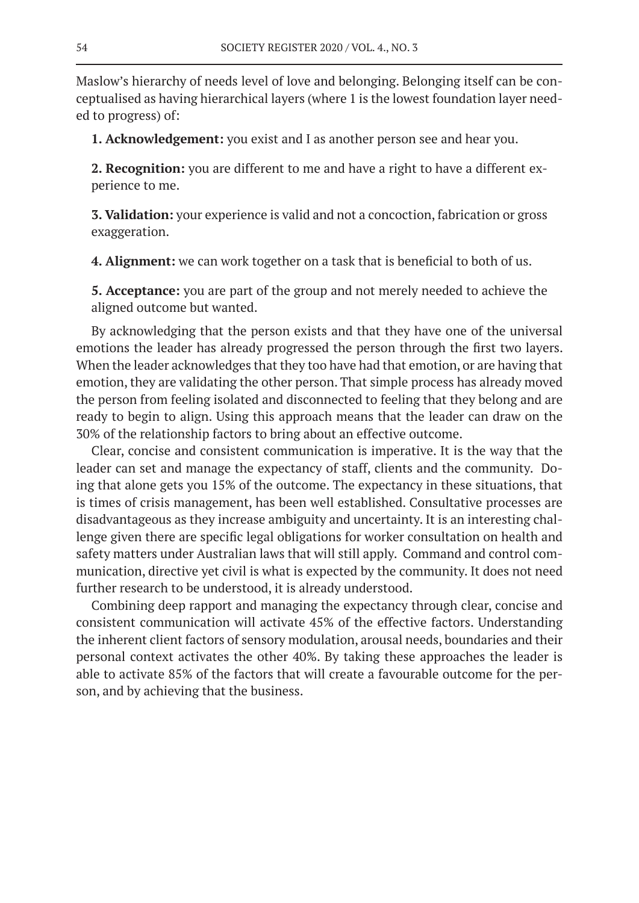Maslow's hierarchy of needs level of love and belonging. Belonging itself can be conceptualised as having hierarchical layers (where 1 is the lowest foundation layer needed to progress) of:

**1. Acknowledgement:** you exist and I as another person see and hear you.

**2. Recognition:** you are different to me and have a right to have a different experience to me.

**3. Validation:** your experience is valid and not a concoction, fabrication or gross exaggeration.

**4. Alignment:** we can work together on a task that is beneficial to both of us.

**5. Acceptance:** you are part of the group and not merely needed to achieve the aligned outcome but wanted.

By acknowledging that the person exists and that they have one of the universal emotions the leader has already progressed the person through the first two layers. When the leader acknowledges that they too have had that emotion, or are having that emotion, they are validating the other person. That simple process has already moved the person from feeling isolated and disconnected to feeling that they belong and are ready to begin to align. Using this approach means that the leader can draw on the 30% of the relationship factors to bring about an effective outcome.

Clear, concise and consistent communication is imperative. It is the way that the leader can set and manage the expectancy of staff, clients and the community. Doing that alone gets you 15% of the outcome. The expectancy in these situations, that is times of crisis management, has been well established. Consultative processes are disadvantageous as they increase ambiguity and uncertainty. It is an interesting challenge given there are specific legal obligations for worker consultation on health and safety matters under Australian laws that will still apply. Command and control communication, directive yet civil is what is expected by the community. It does not need further research to be understood, it is already understood.

Combining deep rapport and managing the expectancy through clear, concise and consistent communication will activate 45% of the effective factors. Understanding the inherent client factors of sensory modulation, arousal needs, boundaries and their personal context activates the other 40%. By taking these approaches the leader is able to activate 85% of the factors that will create a favourable outcome for the person, and by achieving that the business.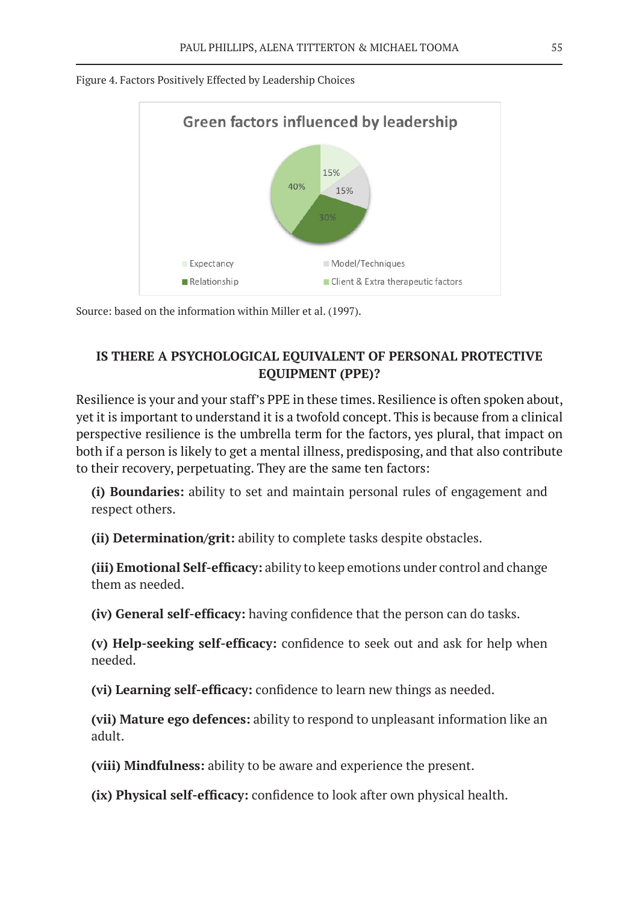

Figure 4. Factors Positively Effected by Leadership Choices

Source: based on the information within Miller et al. (1997).

# **IS THERE A PSYCHOLOGICAL EQUIVALENT OF PERSONAL PROTECTIVE EQUIPMENT (PPE)?**

Resilience is your and your staff's PPE in these times. Resilience is often spoken about, yet it is important to understand it is a twofold concept. This is because from a clinical perspective resilience is the umbrella term for the factors, yes plural, that impact on both if a person is likely to get a mental illness, predisposing, and that also contribute to their recovery, perpetuating. They are the same ten factors:

**(i) Boundaries:** ability to set and maintain personal rules of engagement and respect others.

**(ii) Determination/grit:** ability to complete tasks despite obstacles.

**(iii) Emotional Self-efficacy:** ability to keep emotions under control and change them as needed.

**(iv) General self-efficacy:** having confidence that the person can do tasks.

**(v) Help-seeking self-efficacy:** confidence to seek out and ask for help when needed.

**(vi) Learning self-efficacy:** confidence to learn new things as needed.

**(vii) Mature ego defences:** ability to respond to unpleasant information like an adult.

**(viii) Mindfulness:** ability to be aware and experience the present.

**(ix) Physical self-efficacy:** confidence to look after own physical health.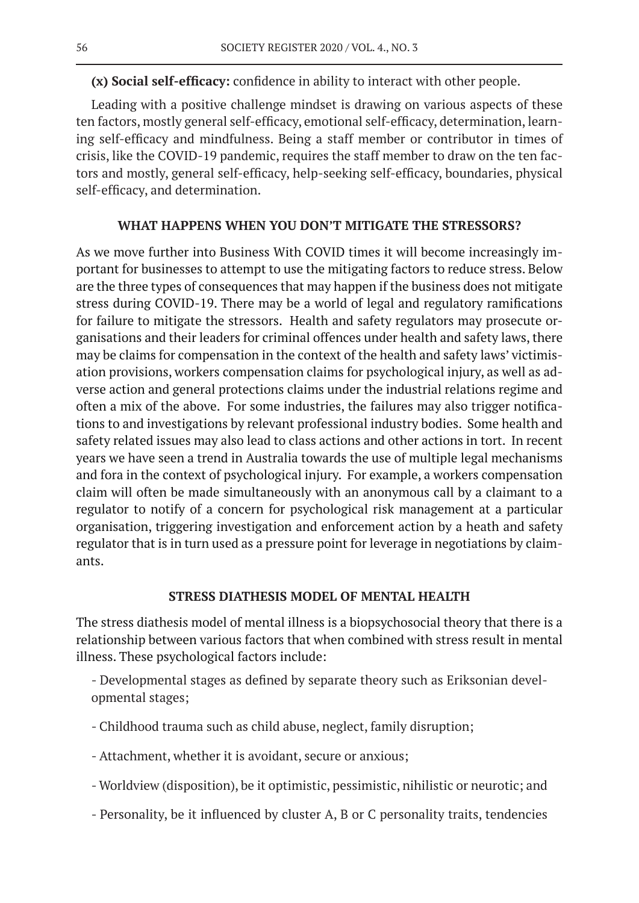**(x) Social self-efficacy:** confidence in ability to interact with other people.

Leading with a positive challenge mindset is drawing on various aspects of these ten factors, mostly general self-efficacy, emotional self-efficacy, determination, learning self-efficacy and mindfulness. Being a staff member or contributor in times of crisis, like the COVID-19 pandemic, requires the staff member to draw on the ten factors and mostly, general self-efficacy, help-seeking self-efficacy, boundaries, physical self-efficacy, and determination.

### **WHAT HAPPENS WHEN YOU DON'T MITIGATE THE STRESSORS?**

As we move further into Business With COVID times it will become increasingly important for businesses to attempt to use the mitigating factors to reduce stress. Below are the three types of consequences that may happen if the business does not mitigate stress during COVID-19. There may be a world of legal and regulatory ramifications for failure to mitigate the stressors. Health and safety regulators may prosecute organisations and their leaders for criminal offences under health and safety laws, there may be claims for compensation in the context of the health and safety laws' victimisation provisions, workers compensation claims for psychological injury, as well as adverse action and general protections claims under the industrial relations regime and often a mix of the above. For some industries, the failures may also trigger notifications to and investigations by relevant professional industry bodies. Some health and safety related issues may also lead to class actions and other actions in tort. In recent years we have seen a trend in Australia towards the use of multiple legal mechanisms and fora in the context of psychological injury. For example, a workers compensation claim will often be made simultaneously with an anonymous call by a claimant to a regulator to notify of a concern for psychological risk management at a particular organisation, triggering investigation and enforcement action by a heath and safety regulator that is in turn used as a pressure point for leverage in negotiations by claimants.

### **STRESS DIATHESIS MODEL OF MENTAL HEALTH**

The stress diathesis model of mental illness is a biopsychosocial theory that there is a relationship between various factors that when combined with stress result in mental illness. These psychological factors include:

- Developmental stages as defined by separate theory such as Eriksonian developmental stages;

- Childhood trauma such as child abuse, neglect, family disruption;
- Attachment, whether it is avoidant, secure or anxious;
- Worldview (disposition), be it optimistic, pessimistic, nihilistic or neurotic; and
- Personality, be it influenced by cluster A, B or C personality traits, tendencies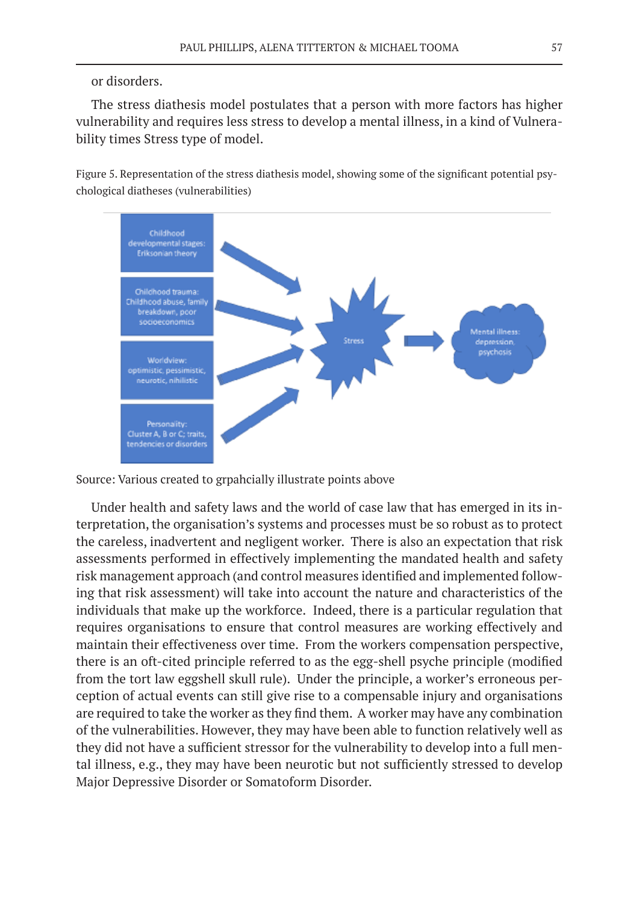### or disorders.

The stress diathesis model postulates that a person with more factors has higher vulnerability and requires less stress to develop a mental illness, in a kind of Vulnerability times Stress type of model.

Figure 5. Representation of the stress diathesis model, showing some of the significant potential psychological diatheses (vulnerabilities)



Source: Various created to grpahcially illustrate points above

Under health and safety laws and the world of case law that has emerged in its interpretation, the organisation's systems and processes must be so robust as to protect the careless, inadvertent and negligent worker. There is also an expectation that risk assessments performed in effectively implementing the mandated health and safety risk management approach (and control measures identified and implemented following that risk assessment) will take into account the nature and characteristics of the individuals that make up the workforce. Indeed, there is a particular regulation that requires organisations to ensure that control measures are working effectively and maintain their effectiveness over time. From the workers compensation perspective, there is an oft-cited principle referred to as the egg-shell psyche principle (modified from the tort law eggshell skull rule). Under the principle, a worker's erroneous perception of actual events can still give rise to a compensable injury and organisations are required to take the worker as they find them. A worker may have any combination of the vulnerabilities. However, they may have been able to function relatively well as they did not have a sufficient stressor for the vulnerability to develop into a full mental illness, e.g., they may have been neurotic but not sufficiently stressed to develop Major Depressive Disorder or Somatoform Disorder.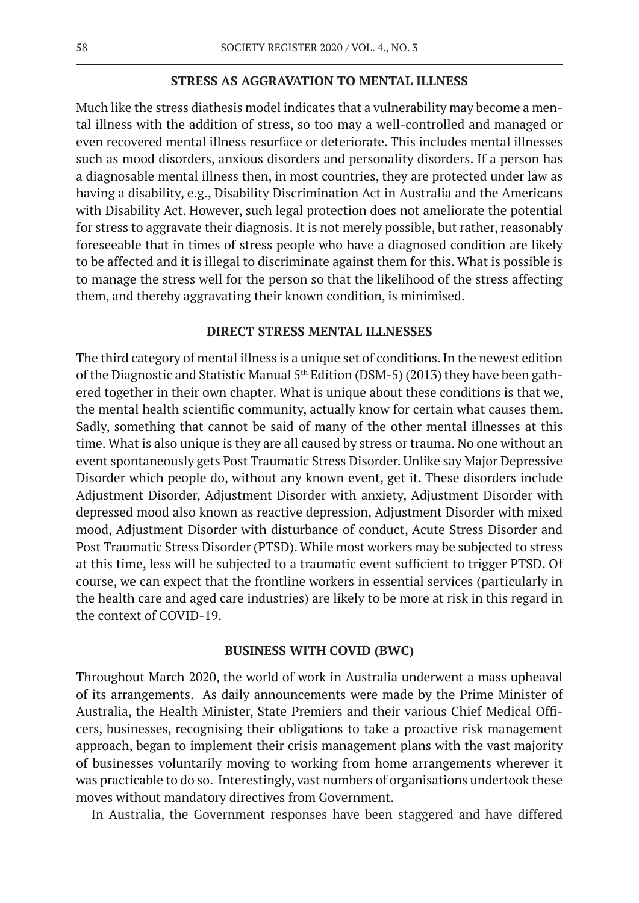### **STRESS AS AGGRAVATION TO MENTAL ILLNESS**

Much like the stress diathesis model indicates that a vulnerability may become a mental illness with the addition of stress, so too may a well-controlled and managed or even recovered mental illness resurface or deteriorate. This includes mental illnesses such as mood disorders, anxious disorders and personality disorders. If a person has a diagnosable mental illness then, in most countries, they are protected under law as having a disability, e.g., Disability Discrimination Act in Australia and the Americans with Disability Act. However, such legal protection does not ameliorate the potential for stress to aggravate their diagnosis. It is not merely possible, but rather, reasonably foreseeable that in times of stress people who have a diagnosed condition are likely to be affected and it is illegal to discriminate against them for this. What is possible is to manage the stress well for the person so that the likelihood of the stress affecting them, and thereby aggravating their known condition, is minimised.

### **DIRECT STRESS MENTAL ILLNESSES**

The third category of mental illness is a unique set of conditions. In the newest edition of the Diagnostic and Statistic Manual 5<sup>th</sup> Edition (DSM-5) (2013) they have been gathered together in their own chapter. What is unique about these conditions is that we, the mental health scientific community, actually know for certain what causes them. Sadly, something that cannot be said of many of the other mental illnesses at this time. What is also unique is they are all caused by stress or trauma. No one without an event spontaneously gets Post Traumatic Stress Disorder. Unlike say Major Depressive Disorder which people do, without any known event, get it. These disorders include Adjustment Disorder, Adjustment Disorder with anxiety, Adjustment Disorder with depressed mood also known as reactive depression, Adjustment Disorder with mixed mood, Adjustment Disorder with disturbance of conduct, Acute Stress Disorder and Post Traumatic Stress Disorder (PTSD). While most workers may be subjected to stress at this time, less will be subjected to a traumatic event sufficient to trigger PTSD. Of course, we can expect that the frontline workers in essential services (particularly in the health care and aged care industries) are likely to be more at risk in this regard in the context of COVID-19.

### **BUSINESS WITH COVID (BWC)**

Throughout March 2020, the world of work in Australia underwent a mass upheaval of its arrangements. As daily announcements were made by the Prime Minister of Australia, the Health Minister, State Premiers and their various Chief Medical Officers, businesses, recognising their obligations to take a proactive risk management approach, began to implement their crisis management plans with the vast majority of businesses voluntarily moving to working from home arrangements wherever it was practicable to do so. Interestingly, vast numbers of organisations undertook these moves without mandatory directives from Government.

In Australia, the Government responses have been staggered and have differed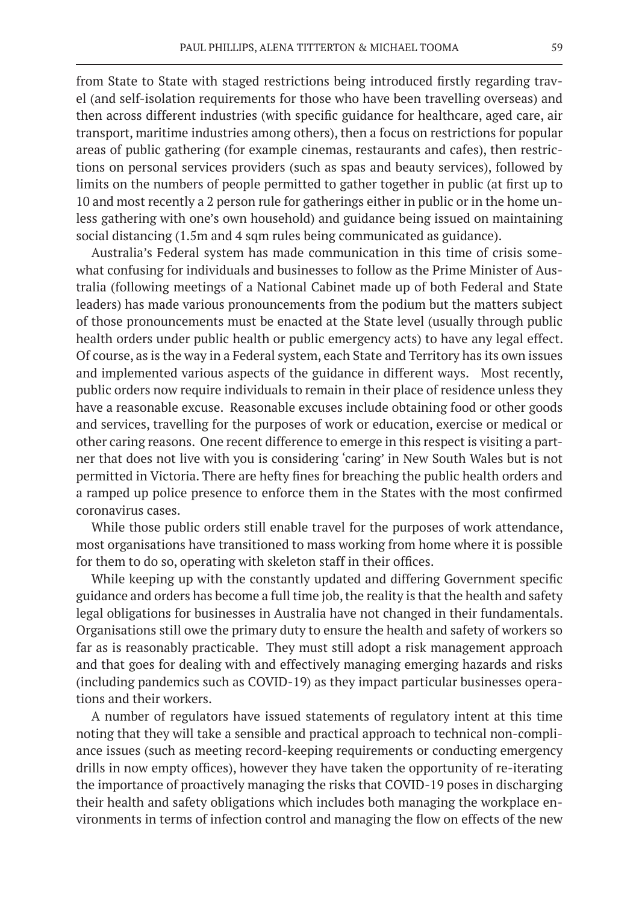from State to State with staged restrictions being introduced firstly regarding travel (and self-isolation requirements for those who have been travelling overseas) and then across different industries (with specific guidance for healthcare, aged care, air transport, maritime industries among others), then a focus on restrictions for popular areas of public gathering (for example cinemas, restaurants and cafes), then restrictions on personal services providers (such as spas and beauty services), followed by limits on the numbers of people permitted to gather together in public (at first up to 10 and most recently a 2 person rule for gatherings either in public or in the home unless gathering with one's own household) and guidance being issued on maintaining social distancing (1.5m and 4 sqm rules being communicated as guidance).

Australia's Federal system has made communication in this time of crisis somewhat confusing for individuals and businesses to follow as the Prime Minister of Australia (following meetings of a National Cabinet made up of both Federal and State leaders) has made various pronouncements from the podium but the matters subject of those pronouncements must be enacted at the State level (usually through public health orders under public health or public emergency acts) to have any legal effect. Of course, as is the way in a Federal system, each State and Territory has its own issues and implemented various aspects of the guidance in different ways. Most recently, public orders now require individuals to remain in their place of residence unless they have a reasonable excuse. Reasonable excuses include obtaining food or other goods and services, travelling for the purposes of work or education, exercise or medical or other caring reasons. One recent difference to emerge in this respect is visiting a partner that does not live with you is considering 'caring' in New South Wales but is not permitted in Victoria. There are hefty fines for breaching the public health orders and a ramped up police presence to enforce them in the States with the most confirmed coronavirus cases.

While those public orders still enable travel for the purposes of work attendance, most organisations have transitioned to mass working from home where it is possible for them to do so, operating with skeleton staff in their offices.

While keeping up with the constantly updated and differing Government specific guidance and orders has become a full time job, the reality is that the health and safety legal obligations for businesses in Australia have not changed in their fundamentals. Organisations still owe the primary duty to ensure the health and safety of workers so far as is reasonably practicable. They must still adopt a risk management approach and that goes for dealing with and effectively managing emerging hazards and risks (including pandemics such as COVID-19) as they impact particular businesses operations and their workers.

A number of regulators have issued statements of regulatory intent at this time noting that they will take a sensible and practical approach to technical non-compliance issues (such as meeting record-keeping requirements or conducting emergency drills in now empty offices), however they have taken the opportunity of re-iterating the importance of proactively managing the risks that COVID-19 poses in discharging their health and safety obligations which includes both managing the workplace environments in terms of infection control and managing the flow on effects of the new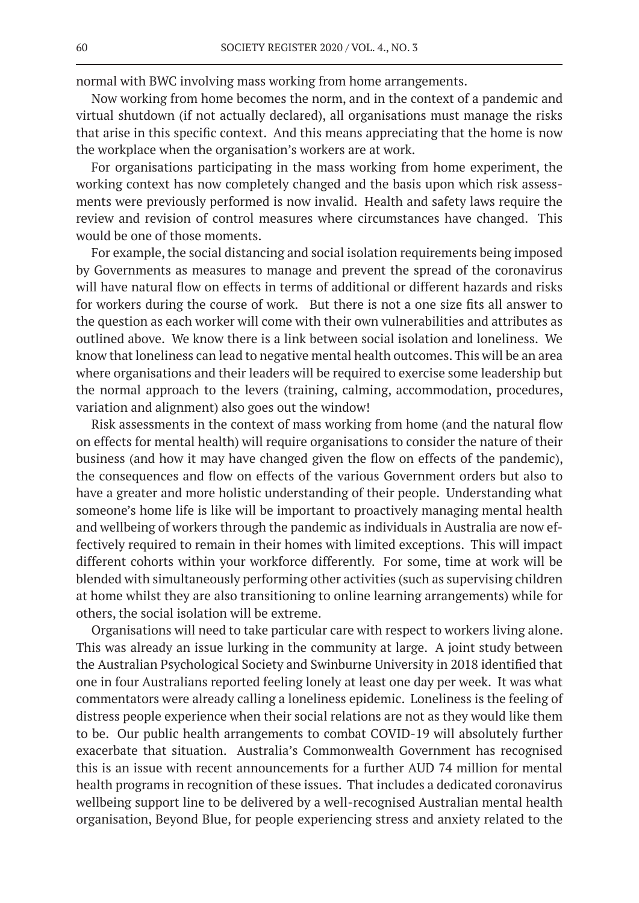normal with BWC involving mass working from home arrangements.

Now working from home becomes the norm, and in the context of a pandemic and virtual shutdown (if not actually declared), all organisations must manage the risks that arise in this specific context. And this means appreciating that the home is now the workplace when the organisation's workers are at work.

For organisations participating in the mass working from home experiment, the working context has now completely changed and the basis upon which risk assessments were previously performed is now invalid. Health and safety laws require the review and revision of control measures where circumstances have changed. This would be one of those moments.

For example, the social distancing and social isolation requirements being imposed by Governments as measures to manage and prevent the spread of the coronavirus will have natural flow on effects in terms of additional or different hazards and risks for workers during the course of work. But there is not a one size fits all answer to the question as each worker will come with their own vulnerabilities and attributes as outlined above. We know there is a link between social isolation and loneliness. We know that loneliness can lead to negative mental health outcomes. This will be an area where organisations and their leaders will be required to exercise some leadership but the normal approach to the levers (training, calming, accommodation, procedures, variation and alignment) also goes out the window!

Risk assessments in the context of mass working from home (and the natural flow on effects for mental health) will require organisations to consider the nature of their business (and how it may have changed given the flow on effects of the pandemic), the consequences and flow on effects of the various Government orders but also to have a greater and more holistic understanding of their people. Understanding what someone's home life is like will be important to proactively managing mental health and wellbeing of workers through the pandemic as individuals in Australia are now effectively required to remain in their homes with limited exceptions. This will impact different cohorts within your workforce differently. For some, time at work will be blended with simultaneously performing other activities (such as supervising children at home whilst they are also transitioning to online learning arrangements) while for others, the social isolation will be extreme.

Organisations will need to take particular care with respect to workers living alone. This was already an issue lurking in the community at large. A joint study between the Australian Psychological Society and Swinburne University in 2018 identified that one in four Australians reported feeling lonely at least one day per week. It was what commentators were already calling a loneliness epidemic. Loneliness is the feeling of distress people experience when their social relations are not as they would like them to be. Our public health arrangements to combat COVID-19 will absolutely further exacerbate that situation. Australia's Commonwealth Government has recognised this is an issue with recent announcements for a further AUD 74 million for mental health programs in recognition of these issues. That includes a dedicated coronavirus wellbeing support line to be delivered by a well-recognised Australian mental health organisation, Beyond Blue, for people experiencing stress and anxiety related to the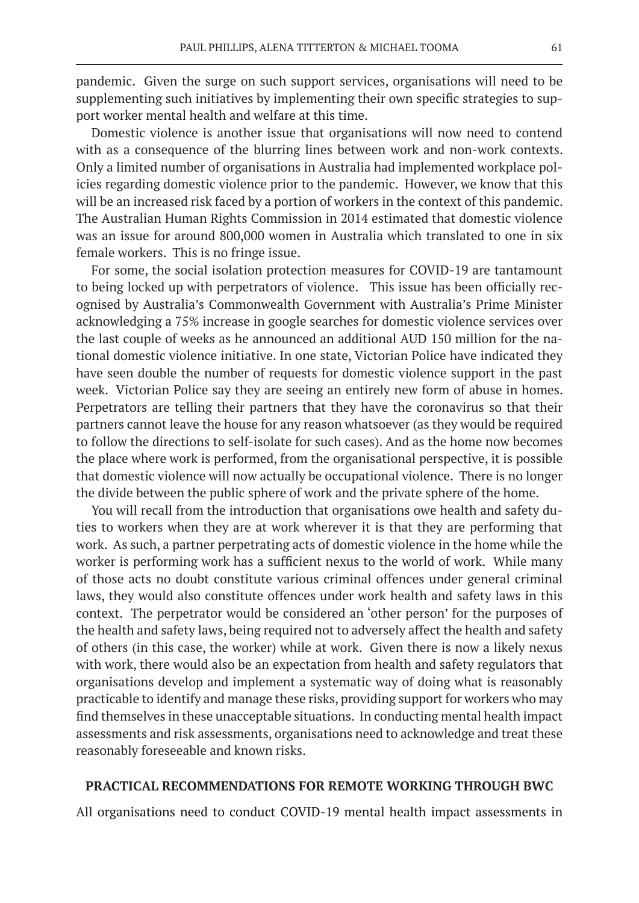pandemic. Given the surge on such support services, organisations will need to be supplementing such initiatives by implementing their own specific strategies to support worker mental health and welfare at this time.

Domestic violence is another issue that organisations will now need to contend with as a consequence of the blurring lines between work and non-work contexts. Only a limited number of organisations in Australia had implemented workplace policies regarding domestic violence prior to the pandemic. However, we know that this will be an increased risk faced by a portion of workers in the context of this pandemic. The Australian Human Rights Commission in 2014 estimated that domestic violence was an issue for around 800,000 women in Australia which translated to one in six female workers. This is no fringe issue.

For some, the social isolation protection measures for COVID-19 are tantamount to being locked up with perpetrators of violence. This issue has been officially recognised by Australia's Commonwealth Government with Australia's Prime Minister acknowledging a 75% increase in google searches for domestic violence services over the last couple of weeks as he announced an additional AUD 150 million for the national domestic violence initiative. In one state, Victorian Police have indicated they have seen double the number of requests for domestic violence support in the past week. Victorian Police say they are seeing an entirely new form of abuse in homes. Perpetrators are telling their partners that they have the coronavirus so that their partners cannot leave the house for any reason whatsoever (as they would be required to follow the directions to self-isolate for such cases). And as the home now becomes the place where work is performed, from the organisational perspective, it is possible that domestic violence will now actually be occupational violence. There is no longer the divide between the public sphere of work and the private sphere of the home.

You will recall from the introduction that organisations owe health and safety duties to workers when they are at work wherever it is that they are performing that work. As such, a partner perpetrating acts of domestic violence in the home while the worker is performing work has a sufficient nexus to the world of work. While many of those acts no doubt constitute various criminal offences under general criminal laws, they would also constitute offences under work health and safety laws in this context. The perpetrator would be considered an 'other person' for the purposes of the health and safety laws, being required not to adversely affect the health and safety of others (in this case, the worker) while at work. Given there is now a likely nexus with work, there would also be an expectation from health and safety regulators that organisations develop and implement a systematic way of doing what is reasonably practicable to identify and manage these risks, providing support for workers who may find themselves in these unacceptable situations. In conducting mental health impact assessments and risk assessments, organisations need to acknowledge and treat these reasonably foreseeable and known risks.

#### **PRACTICAL RECOMMENDATIONS FOR REMOTE WORKING THROUGH BWC**

All organisations need to conduct COVID-19 mental health impact assessments in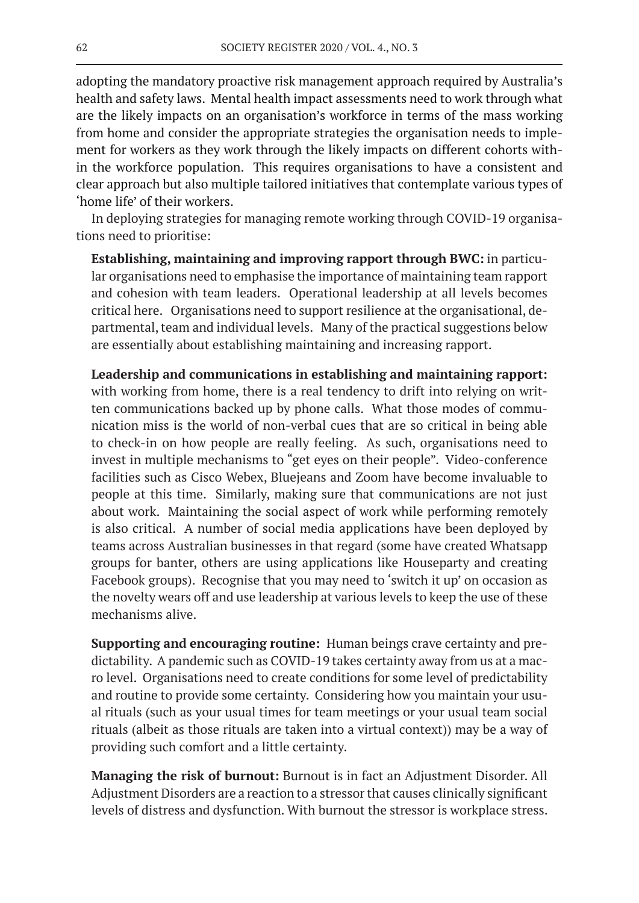adopting the mandatory proactive risk management approach required by Australia's health and safety laws. Mental health impact assessments need to work through what are the likely impacts on an organisation's workforce in terms of the mass working from home and consider the appropriate strategies the organisation needs to implement for workers as they work through the likely impacts on different cohorts within the workforce population. This requires organisations to have a consistent and clear approach but also multiple tailored initiatives that contemplate various types of 'home life' of their workers.

In deploying strategies for managing remote working through COVID-19 organisations need to prioritise:

**Establishing, maintaining and improving rapport through BWC:** in particular organisations need to emphasise the importance of maintaining team rapport and cohesion with team leaders. Operational leadership at all levels becomes critical here. Organisations need to support resilience at the organisational, departmental, team and individual levels. Many of the practical suggestions below are essentially about establishing maintaining and increasing rapport.

**Leadership and communications in establishing and maintaining rapport:** with working from home, there is a real tendency to drift into relying on written communications backed up by phone calls. What those modes of communication miss is the world of non-verbal cues that are so critical in being able to check-in on how people are really feeling. As such, organisations need to invest in multiple mechanisms to "get eyes on their people". Video-conference facilities such as Cisco Webex, Bluejeans and Zoom have become invaluable to people at this time. Similarly, making sure that communications are not just about work. Maintaining the social aspect of work while performing remotely is also critical. A number of social media applications have been deployed by teams across Australian businesses in that regard (some have created Whatsapp groups for banter, others are using applications like Houseparty and creating Facebook groups). Recognise that you may need to 'switch it up' on occasion as the novelty wears off and use leadership at various levels to keep the use of these mechanisms alive.

**Supporting and encouraging routine:** Human beings crave certainty and predictability. A pandemic such as COVID-19 takes certainty away from us at a macro level. Organisations need to create conditions for some level of predictability and routine to provide some certainty. Considering how you maintain your usual rituals (such as your usual times for team meetings or your usual team social rituals (albeit as those rituals are taken into a virtual context)) may be a way of providing such comfort and a little certainty.

**Managing the risk of burnout:** Burnout is in fact an Adjustment Disorder. All Adjustment Disorders are a reaction to a stressor that causes clinically significant levels of distress and dysfunction. With burnout the stressor is workplace stress.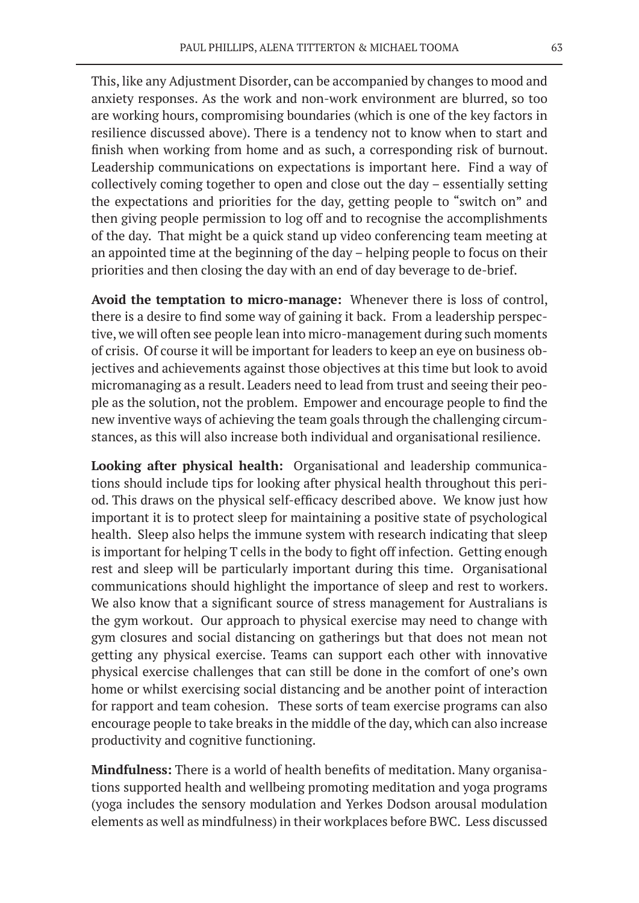This, like any Adjustment Disorder, can be accompanied by changes to mood and anxiety responses. As the work and non-work environment are blurred, so too are working hours, compromising boundaries (which is one of the key factors in resilience discussed above). There is a tendency not to know when to start and finish when working from home and as such, a corresponding risk of burnout. Leadership communications on expectations is important here. Find a way of collectively coming together to open and close out the day – essentially setting the expectations and priorities for the day, getting people to "switch on" and then giving people permission to log off and to recognise the accomplishments of the day. That might be a quick stand up video conferencing team meeting at an appointed time at the beginning of the day – helping people to focus on their priorities and then closing the day with an end of day beverage to de-brief.

**Avoid the temptation to micro-manage:** Whenever there is loss of control, there is a desire to find some way of gaining it back. From a leadership perspective, we will often see people lean into micro-management during such moments of crisis. Of course it will be important for leaders to keep an eye on business objectives and achievements against those objectives at this time but look to avoid micromanaging as a result. Leaders need to lead from trust and seeing their people as the solution, not the problem. Empower and encourage people to find the new inventive ways of achieving the team goals through the challenging circumstances, as this will also increase both individual and organisational resilience.

**Looking after physical health:** Organisational and leadership communications should include tips for looking after physical health throughout this period. This draws on the physical self-efficacy described above. We know just how important it is to protect sleep for maintaining a positive state of psychological health. Sleep also helps the immune system with research indicating that sleep is important for helping T cells in the body to fight off infection. Getting enough rest and sleep will be particularly important during this time. Organisational communications should highlight the importance of sleep and rest to workers. We also know that a significant source of stress management for Australians is the gym workout. Our approach to physical exercise may need to change with gym closures and social distancing on gatherings but that does not mean not getting any physical exercise. Teams can support each other with innovative physical exercise challenges that can still be done in the comfort of one's own home or whilst exercising social distancing and be another point of interaction for rapport and team cohesion. These sorts of team exercise programs can also encourage people to take breaks in the middle of the day, which can also increase productivity and cognitive functioning.

**Mindfulness:** There is a world of health benefits of meditation. Many organisations supported health and wellbeing promoting meditation and yoga programs (yoga includes the sensory modulation and Yerkes Dodson arousal modulation elements as well as mindfulness) in their workplaces before BWC. Less discussed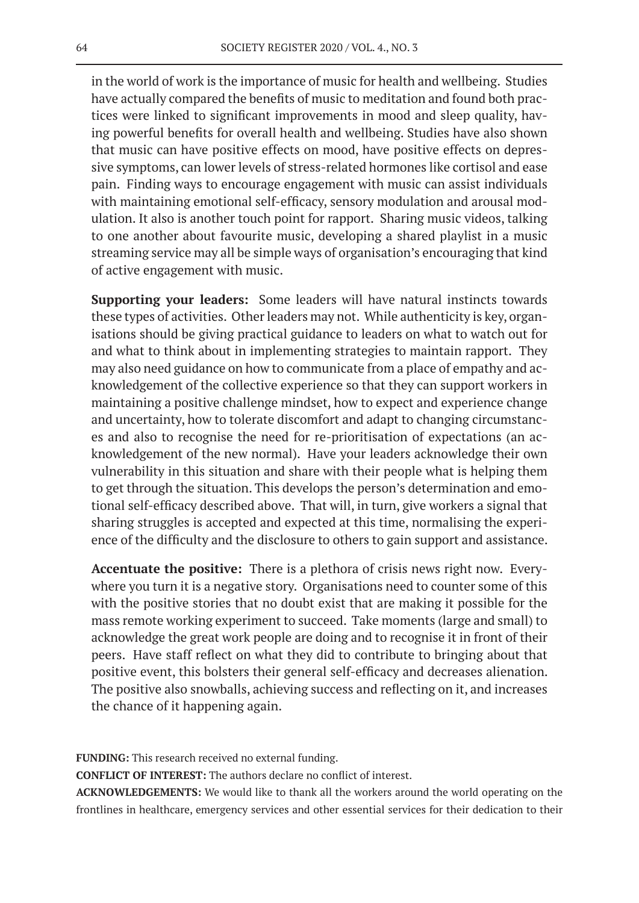in the world of work is the importance of music for health and wellbeing. Studies have actually compared the benefits of music to meditation and found both practices were linked to significant improvements in mood and sleep quality, having powerful benefits for overall health and wellbeing. Studies have also shown that music can have positive effects on mood, have positive effects on depressive symptoms, can lower levels of stress-related hormones like cortisol and ease pain. Finding ways to encourage engagement with music can assist individuals with maintaining emotional self-efficacy, sensory modulation and arousal modulation. It also is another touch point for rapport. Sharing music videos, talking to one another about favourite music, developing a shared playlist in a music streaming service may all be simple ways of organisation's encouraging that kind of active engagement with music.

**Supporting your leaders:** Some leaders will have natural instincts towards these types of activities. Other leaders may not. While authenticity is key, organisations should be giving practical guidance to leaders on what to watch out for and what to think about in implementing strategies to maintain rapport. They may also need guidance on how to communicate from a place of empathy and acknowledgement of the collective experience so that they can support workers in maintaining a positive challenge mindset, how to expect and experience change and uncertainty, how to tolerate discomfort and adapt to changing circumstances and also to recognise the need for re-prioritisation of expectations (an acknowledgement of the new normal). Have your leaders acknowledge their own vulnerability in this situation and share with their people what is helping them to get through the situation. This develops the person's determination and emotional self-efficacy described above. That will, in turn, give workers a signal that sharing struggles is accepted and expected at this time, normalising the experience of the difficulty and the disclosure to others to gain support and assistance.

**Accentuate the positive:** There is a plethora of crisis news right now. Everywhere you turn it is a negative story. Organisations need to counter some of this with the positive stories that no doubt exist that are making it possible for the mass remote working experiment to succeed. Take moments (large and small) to acknowledge the great work people are doing and to recognise it in front of their peers. Have staff reflect on what they did to contribute to bringing about that positive event, this bolsters their general self-efficacy and decreases alienation. The positive also snowballs, achieving success and reflecting on it, and increases the chance of it happening again.

**FUNDING:** This research received no external funding.

**CONFLICT OF INTEREST:** The authors declare no conflict of interest.

**ACKNOWLEDGEMENTS:** We would like to thank all the workers around the world operating on the frontlines in healthcare, emergency services and other essential services for their dedication to their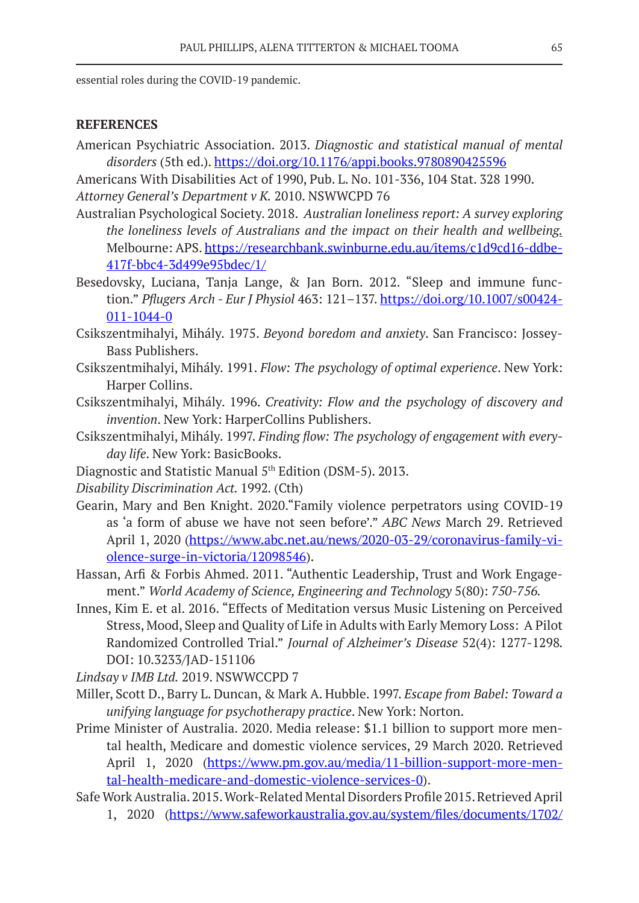essential roles during the COVID-19 pandemic.

### **REFERENCES**

American Psychiatric Association. 2013. *Diagnostic and statistical manual of mental disorders* (5th ed.). https://doi.org/10.1176/appi.books.9780890425596

Americans With Disabilities Act of 1990, Pub. L. No. 101-336, 104 Stat. 328 1990. *Attorney General's Department v K.* 2010. NSWWCPD 76

- Australian Psychological Society. 2018. *Australian loneliness report: A survey exploring the loneliness levels of Australians and the impact on their health and wellbeing.* Melbourne: APS. https://researchbank.swinburne.edu.au/items/c1d9cd16-ddbe-417f-bbc4-3d499e95bdec/1/
- Besedovsky, Luciana, Tanja Lange, & Jan Born. 2012. "Sleep and immune function." *Pflugers Arch - Eur J Physiol* 463: 121–137. https://doi.org/10.1007/s00424- 011-1044-0
- Csikszentmihalyi, Mihály. 1975. *Beyond boredom and anxiety*. San Francisco: Jossey-Bass Publishers.
- Csikszentmihalyi, Mihály. 1991. *Flow: The psychology of optimal experience*. New York: Harper Collins.
- Csikszentmihalyi, Mihály. 1996. *Creativity: Flow and the psychology of discovery and invention*. New York: HarperCollins Publishers.
- Csikszentmihalyi, Mihály. 1997. *Finding flow: The psychology of engagement with everyday life*. New York: BasicBooks.
- Diagnostic and Statistic Manual 5<sup>th</sup> Edition (DSM-5). 2013.
- *Disability Discrimination Act.* 1992*.* (Cth)
- Gearin, Mary and Ben Knight. 2020."Family violence perpetrators using COVID-19 as 'a form of abuse we have not seen before'." *ABC News* March 29. Retrieved April 1, 2020 (https://www.abc.net.au/news/2020-03-29/coronavirus-family-violence-surge-in-victoria/12098546).
- Hassan, Arfi & Forbis Ahmed. 2011. "Authentic Leadership, Trust and Work Engagement." *World Academy of Science, Engineering and Technology* 5(80): *750-756.*
- Innes, Kim E. et al. 2016. "Effects of Meditation versus Music Listening on Perceived Stress, Mood, Sleep and Quality of Life in Adults with Early Memory Loss: A Pilot Randomized Controlled Trial." *Journal of Alzheimer's Disease* 52(4): 1277-1298*.*  DOI: 10.3233/JAD-151106

*Lindsay v IMB Ltd.* 2019. NSWWCCPD 7

- Miller, Scott D., Barry L. Duncan, & Mark A. Hubble. 1997. *Escape from Babel: Toward a unifying language for psychotherapy practice*. New York: Norton.
- Prime Minister of Australia. 2020. Media release: \$1.1 billion to support more mental health, Medicare and domestic violence services, 29 March 2020. Retrieved April 1, 2020 (https://www.pm.gov.au/media/11-billion-support-more-mental-health-medicare-and-domestic-violence-services-0).
- Safe Work Australia. 2015. Work-Related Mental Disorders Profile 2015. Retrieved April 1, 2020 (https://www.safeworkaustralia.gov.au/system/files/documents/1702/